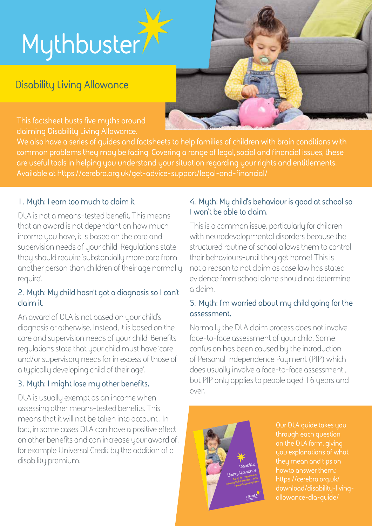# **Mythbuster**

# **Disability Living Allowance**

**This factsheet busts five myths around claiming Disability Living Allowance.**

**We also have a series of guides and factsheets to help families of children with brain conditions with common problems they may be facing. Covering a range of legal, social and financial issues, these are useful tools in helping you understand your situation regarding your rights and entitlements. Available at https://cerebra.org.uk/get-advice-support/legal-and-financial/**

#### **1. Myth: I earn too much to claim it**

DLA is not a means-tested benefit. This means that an award is not dependant on how much income you have, it is based on the care and supervision needs of your child. Regulations state they should require 'substantially more care from another person than children of their age normally require'.

#### **2. Myth: My child hasn't got a diagnosis so I can't claim it.**

An award of DLA is not based on your child's diagnosis or otherwise. Instead, it is based on the care and supervision needs of your child. Benefits regulations state that your child must have 'care and/or supervisory needs far in excess of those of a typically developing child of their age'.

## **3. Myth: I might lose my other benefits.**

DLA is usually exempt as an income when assessing other means-tested benefits. This means that it will not be taken into account . In fact, in some cases DLA can have a positive effect on other benefits and can increase your award of, for example Universal Credit by the addition of a disability premium.

# **4. Myth: My child's behaviour is good at school so I won't be able to claim.**

This is a common issue, particularly for children with neurodevelopmental disorders because the structured routine of school allows them to control their behaviours-until they get home! This is not a reason to not claim as case law has stated evidence from school alone should not determine a claim.

#### **5. Myth: I'm worried about my child going for the assessment.**

Normally the DLA claim process does not involve face-to-face assessment of your child. Some confusion has been caused by the introduction of Personal Independence Payment (PIP) which does usually involve a face-to-face assessment , but PIP only applies to people aged 16 years and over.



**Our DLA guide takes you through each question on the DLA form, giving you explanations of what they mean and tips on howto answer them.: [https://cerebra.org.uk/](https://cerebra.org.uk/download/disability-living-allowance-dla-guide/) [download/disability-living](https://cerebra.org.uk/download/disability-living-allowance-dla-guide/)[allowance-dla-guide/](https://cerebra.org.uk/download/disability-living-allowance-dla-guide/)**